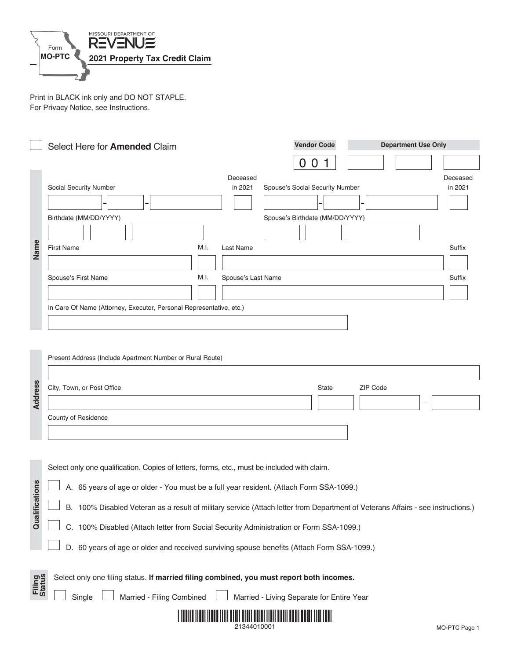

Print in BLACK ink only and DO NOT STAPLE. For Privacy Notice, see Instructions.

|                         | Select Here for Amended Claim                                                                                                                                                                                                                                                                                                                                                                                                                                                                                              | <b>Vendor Code</b>                                                                   | <b>Department Use Only</b> |                                         |
|-------------------------|----------------------------------------------------------------------------------------------------------------------------------------------------------------------------------------------------------------------------------------------------------------------------------------------------------------------------------------------------------------------------------------------------------------------------------------------------------------------------------------------------------------------------|--------------------------------------------------------------------------------------|----------------------------|-----------------------------------------|
| Name                    | Deceased<br>Social Security Number<br>in 2021<br>Birthdate (MM/DD/YYYY)<br>M.I.<br><b>First Name</b><br>Last Name<br>M.I.<br>Spouse's Last Name<br>Spouse's First Name<br>In Care Of Name (Attorney, Executor, Personal Representative, etc.)                                                                                                                                                                                                                                                                              | 0 <sub>0</sub><br>Spouse's Social Security Number<br>Spouse's Birthdate (MM/DD/YYYY) |                            | Deceased<br>in 2021<br>Suffix<br>Suffix |
| <b>Address</b>          | Present Address (Include Apartment Number or Rural Route)<br>City, Town, or Post Office<br>County of Residence                                                                                                                                                                                                                                                                                                                                                                                                             | State                                                                                | ZIP Code                   |                                         |
| cations<br>Qualifi      | Select only one qualification. Copies of letters, forms, etc., must be included with claim.<br>A. 65 years of age or older - You must be a full year resident. (Attach Form SSA-1099.)<br>B. 100% Disabled Veteran as a result of military service (Attach letter from Department of Veterans Affairs - see instructions.)<br>ىسسا<br>C. 100% Disabled (Attach letter from Social Security Administration or Form SSA-1099.)<br>D. 60 years of age or older and received surviving spouse benefits (Attach Form SSA-1099.) |                                                                                      |                            |                                         |
| <b>Filing</b><br>Status | Select only one filing status. If married filing combined, you must report both incomes.<br>Married - Filing Combined<br>Single<br><u> I I AN II AN II AN II AN AN II AN AN II AN II AN II AN II AN II AN II AN II AN II AN II AN II AN II AN II AN </u><br>21344010001                                                                                                                                                                                                                                                    | Married - Living Separate for Entire Year                                            |                            | MO-PTC Page 1                           |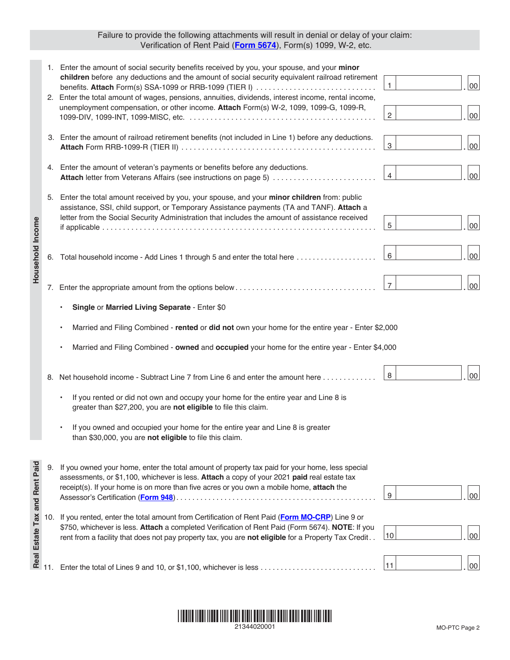## Failure to provide the following attachments will result in denial or delay of your claim: Verification of Rent Paid (**[Form 5674](https://dor.mo.gov/forms/5674.pdf)**), Form(s) 1099, W-2, etc.

| Household Income                                                |     | 1. Enter the amount of social security benefits received by you, your spouse, and your minor<br>children before any deductions and the amount of social security equivalent railroad retirement<br>benefits. Attach Form(s) SSA-1099 or RRB-1099 (TIER I)<br>2. Enter the total amount of wages, pensions, annuities, dividends, interest income, rental income,<br>unemployment compensation, or other income. Attach Form(s) W-2, 1099, 1099-G, 1099-R, | $\mathbf{1}$<br>$\overline{2}$ | 00 <sub>0</sub><br>00 <sub>0</sub> |  |  |
|-----------------------------------------------------------------|-----|-----------------------------------------------------------------------------------------------------------------------------------------------------------------------------------------------------------------------------------------------------------------------------------------------------------------------------------------------------------------------------------------------------------------------------------------------------------|--------------------------------|------------------------------------|--|--|
|                                                                 |     | 3. Enter the amount of railroad retirement benefits (not included in Line 1) before any deductions.                                                                                                                                                                                                                                                                                                                                                       | 3                              | $00\,$                             |  |  |
|                                                                 |     | 4. Enter the amount of veteran's payments or benefits before any deductions.<br>Attach letter from Veterans Affairs (see instructions on page 5)                                                                                                                                                                                                                                                                                                          | $\overline{4}$                 | 00 <sub>0</sub>                    |  |  |
|                                                                 |     | 5. Enter the total amount received by you, your spouse, and your minor children from: public<br>assistance, SSI, child support, or Temporary Assistance payments (TA and TANF). Attach a<br>letter from the Social Security Administration that includes the amount of assistance received                                                                                                                                                                | 5                              | 00 <sub>0</sub>                    |  |  |
|                                                                 | 6.  | Total household income - Add Lines 1 through 5 and enter the total here                                                                                                                                                                                                                                                                                                                                                                                   | 6                              | $00\,$                             |  |  |
|                                                                 |     |                                                                                                                                                                                                                                                                                                                                                                                                                                                           | $\overline{7}$                 | $00\,$                             |  |  |
|                                                                 |     | Single or Married Living Separate - Enter \$0                                                                                                                                                                                                                                                                                                                                                                                                             |                                |                                    |  |  |
|                                                                 |     | Married and Filing Combined - rented or did not own your home for the entire year - Enter \$2,000                                                                                                                                                                                                                                                                                                                                                         |                                |                                    |  |  |
|                                                                 |     | Married and Filing Combined - owned and occupied your home for the entire year - Enter \$4,000                                                                                                                                                                                                                                                                                                                                                            |                                |                                    |  |  |
|                                                                 |     | 8. Net household income - Subtract Line 7 from Line 6 and enter the amount here                                                                                                                                                                                                                                                                                                                                                                           | 8                              | $00\,$                             |  |  |
|                                                                 |     | If you rented or did not own and occupy your home for the entire year and Line 8 is<br>greater than \$27,200, you are not eligible to file this claim.                                                                                                                                                                                                                                                                                                    |                                |                                    |  |  |
|                                                                 |     | If you owned and occupied your home for the entire year and Line 8 is greater<br>than \$30,000, you are not eligible to file this claim.                                                                                                                                                                                                                                                                                                                  |                                |                                    |  |  |
| Real Estate Tax and Rent Paid<br>$\frac{1}{1}$<br>$\frac{1}{1}$ |     | If you owned your home, enter the total amount of property tax paid for your home, less special<br>assessments, or \$1,100, whichever is less. Attach a copy of your 2021 paid real estate tax<br>receipt(s). If your home is on more than five acres or you own a mobile home, attach the<br>Assessor's Certification (Form 948).                                                                                                                        | 9                              | $00\,$                             |  |  |
|                                                                 | 10. | If you rented, enter the total amount from Certification of Rent Paid (Form MO-CRP) Line 9 or<br>\$750, whichever is less. Attach a completed Verification of Rent Paid (Form 5674). NOTE: If you<br>rent from a facility that does not pay property tax, you are not eligible for a Property Tax Credit                                                                                                                                                  | 10                             | $00\,$                             |  |  |
|                                                                 |     | Enter the total of Lines 9 and 10, or \$1,100, whichever is less                                                                                                                                                                                                                                                                                                                                                                                          | 11                             | $00\,$                             |  |  |